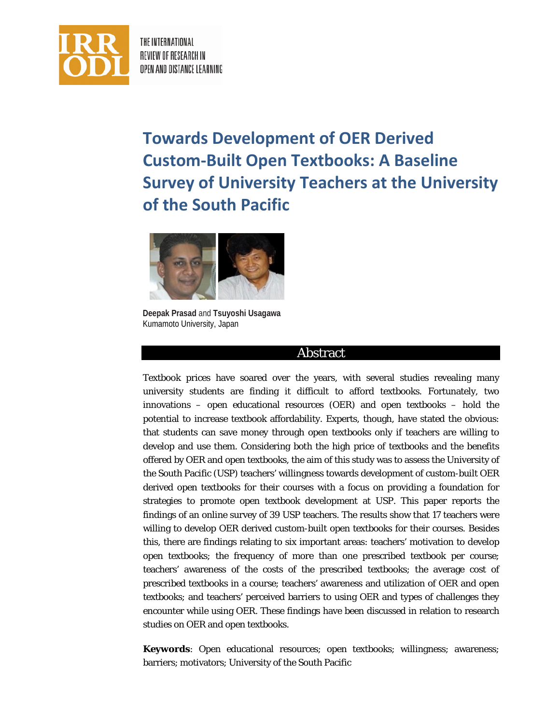

THE INTERNATIONAL REVIEW OF RESEARCH IN OPEN AND DISTANCE LEARNING

# **Towards Development of OER Derived Custom-Built Open Textbooks: A Baseline Survey of University Teachers at the University of the South Pacific**



**Deepak Prasad** and **Tsuyoshi Usagawa** Kumamoto University, Japan

## Abstract

Textbook prices have soared over the years, with several studies revealing many university students are finding it difficult to afford textbooks. Fortunately, two innovations – open educational resources (OER) and open textbooks – hold the potential to increase textbook affordability. Experts, though, have stated the obvious: that students can save money through open textbooks only if teachers are willing to develop and use them. Considering both the high price of textbooks and the benefits offered by OER and open textbooks, the aim of this study was to assess the University of the South Pacific (USP) teachers' willingness towards development of custom-built OER derived open textbooks for their courses with a focus on providing a foundation for strategies to promote open textbook development at USP. This paper reports the findings of an online survey of 39 USP teachers. The results show that 17 teachers were willing to develop OER derived custom-built open textbooks for their courses. Besides this, there are findings relating to six important areas: teachers' motivation to develop open textbooks; the frequency of more than one prescribed textbook per course; teachers' awareness of the costs of the prescribed textbooks; the average cost of prescribed textbooks in a course; teachers' awareness and utilization of OER and open textbooks; and teachers' perceived barriers to using OER and types of challenges they encounter while using OER. These findings have been discussed in relation to research studies on OER and open textbooks.

**Keywords**: Open educational resources; open textbooks; willingness; awareness; barriers; motivators; University of the South Pacific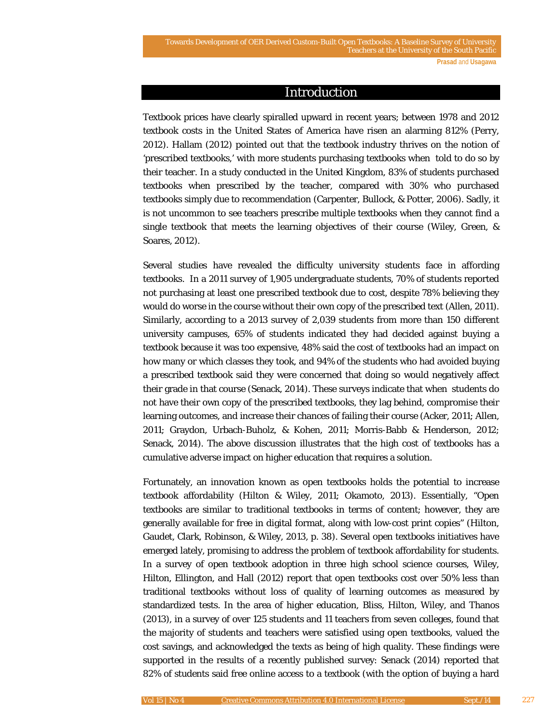### Introduction

Textbook prices have clearly spiralled upward in recent years; between 1978 and 2012 textbook costs in the United States of America have risen an alarming 812% (Perry, 2012). Hallam (2012) pointed out that the textbook industry thrives on the notion of 'prescribed textbooks,' with more students purchasing textbooks when told to do so by their teacher. In a study conducted in the United Kingdom, 83% of students purchased textbooks when prescribed by the teacher, compared with 30% who purchased textbooks simply due to recommendation (Carpenter, Bullock, & Potter, 2006). Sadly, it is not uncommon to see teachers prescribe multiple textbooks when they cannot find a single textbook that meets the learning objectives of their course (Wiley, Green, & Soares, 2012).

Several studies have revealed the difficulty university students face in affording textbooks. In a 2011 survey of 1,905 undergraduate students, 70% of students reported not purchasing at least one prescribed textbook due to cost, despite 78% believing they would do worse in the course without their own copy of the prescribed text (Allen, 2011). Similarly, according to a 2013 survey of 2,039 students from more than 150 different university campuses, 65% of students indicated they had decided against buying a textbook because it was too expensive, 48% said the cost of textbooks had an impact on how many or which classes they took, and 94% of the students who had avoided buying a prescribed textbook said they were concerned that doing so would negatively affect their grade in that course (Senack, 2014). These surveys indicate that when students do not have their own copy of the prescribed textbooks, they lag behind, compromise their learning outcomes, and increase their chances of failing their course (Acker, 2011; Allen, 2011; Graydon, Urbach-Buholz, & Kohen, 2011; Morris-Babb & Henderson, 2012; Senack, 2014). The above discussion illustrates that the high cost of textbooks has a cumulative adverse impact on higher education that requires a solution.

Fortunately, an innovation known as open textbooks holds the potential to increase textbook affordability (Hilton & Wiley, 2011; Okamoto, 2013). Essentially, "Open textbooks are similar to traditional textbooks in terms of content; however, they are generally available for free in digital format, along with low-cost print copies" (Hilton, Gaudet, Clark, Robinson, & Wiley, 2013, p. 38). Several open textbooks initiatives have emerged lately, promising to address the problem of textbook affordability for students. In a survey of open textbook adoption in three high school science courses, Wiley, Hilton, Ellington, and Hall (2012) report that open textbooks cost over 50% less than traditional textbooks without loss of quality of learning outcomes as measured by standardized tests. In the area of higher education, Bliss, Hilton, Wiley, and Thanos (2013), in a survey of over 125 students and 11 teachers from seven colleges, found that the majority of students and teachers were satisfied using open textbooks, valued the cost savings, and acknowledged the texts as being of high quality. These findings were supported in the results of a recently published survey: Senack (2014) reported that 82% of students said free online access to a textbook (with the option of buying a hard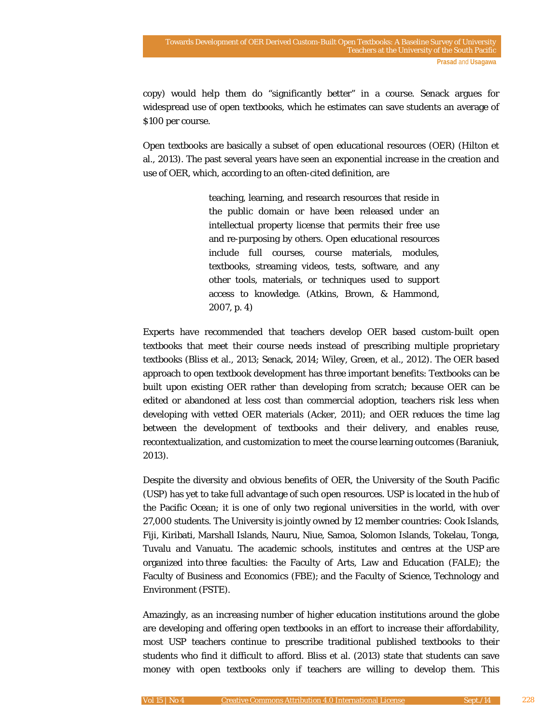copy) would help them do "significantly better" in a course. Senack argues for widespread use of open textbooks, which he estimates can save students an average of \$100 per course.

Open textbooks are basically a subset of open educational resources (OER) (Hilton et al., 2013). The past several years have seen an exponential increase in the creation and use of OER, which, according to an often-cited definition, are

> teaching, learning, and research resources that reside in the public domain or have been released under an intellectual property license that permits their free use and re-purposing by others. Open educational resources include full courses, course materials, modules, textbooks, streaming videos, tests, software, and any other tools, materials, or techniques used to support access to knowledge. (Atkins, Brown, & Hammond, 2007, p. 4)

Experts have recommended that teachers develop OER based custom-built open textbooks that meet their course needs instead of prescribing multiple proprietary textbooks (Bliss et al., 2013; Senack, 2014; Wiley, Green, et al., 2012). The OER based approach to open textbook development has three important benefits: Textbooks can be built upon existing OER rather than developing from scratch; because OER can be edited or abandoned at less cost than commercial adoption, teachers risk less when developing with vetted OER materials (Acker, 2011); and OER reduces the time lag between the development of textbooks and their delivery, and enables reuse, recontextualization, and customization to meet the course learning outcomes (Baraniuk, 2013).

Despite the diversity and obvious benefits of OER, the University of the South Pacific (USP) has yet to take full advantage of such open resources. USP is located in the hub of the Pacific Ocean; it is one of only two regional universities in the world, with over 27,000 students. The University is jointly owned by 12 member countries: Cook Islands, Fiji, Kiribati, Marshall Islands, Nauru, Niue, Samoa, Solomon Islands, Tokelau, Tonga, Tuvalu and Vanuatu. The academic schools, institutes and centres at the USP are organized into three faculties: the Faculty of Arts, Law and Education (FALE); the Faculty of Business and Economics (FBE); and the Faculty of Science, Technology and Environment (FSTE).

Amazingly, as an increasing number of higher education institutions around the globe are developing and offering open textbooks in an effort to increase their affordability, most USP teachers continue to prescribe traditional published textbooks to their students who find it difficult to afford. Bliss et al. (2013) state that students can save money with open textbooks only if teachers are willing to develop them. This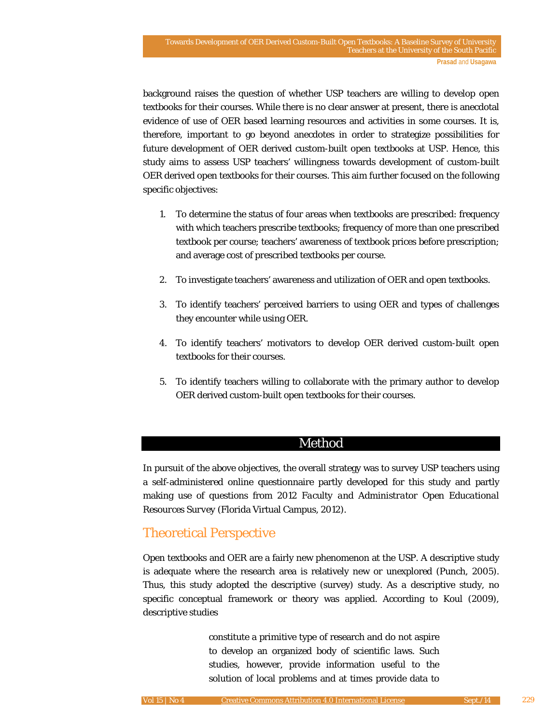background raises the question of whether USP teachers are willing to develop open textbooks for their courses. While there is no clear answer at present, there is anecdotal evidence of use of OER based learning resources and activities in some courses. It is, therefore, important to go beyond anecdotes in order to strategize possibilities for future development of OER derived custom-built open textbooks at USP. Hence, this study aims to assess USP teachers' willingness towards development of custom-built OER derived open textbooks for their courses. This aim further focused on the following specific objectives:

- 1. To determine the status of four areas when textbooks are prescribed: frequency with which teachers prescribe textbooks; frequency of more than one prescribed textbook per course; teachers' awareness of textbook prices before prescription; and average cost of prescribed textbooks per course.
- 2. To investigate teachers' awareness and utilization of OER and open textbooks.
- 3. To identify teachers' perceived barriers to using OER and types of challenges they encounter while using OER.
- 4. To identify teachers' motivators to develop OER derived custom-built open textbooks for their courses.
- 5. To identify teachers willing to collaborate with the primary author to develop OER derived custom-built open textbooks for their courses.

### Method

In pursuit of the above objectives, the overall strategy was to survey USP teachers using a self-administered online questionnaire partly developed for this study and partly making use of questions from *2012 Faculty and Administrator Open Educational Resources Survey* (Florida Virtual Campus, 2012).

# Theoretical Perspective

Open textbooks and OER are a fairly new phenomenon at the USP. A descriptive study is adequate where the research area is relatively new or unexplored (Punch, 2005). Thus, this study adopted the descriptive (survey) study. As a descriptive study, no specific conceptual framework or theory was applied. According to Koul (2009), descriptive studies

> constitute a primitive type of research and do not aspire to develop an organized body of scientific laws. Such studies, however, provide information useful to the solution of local problems and at times provide data to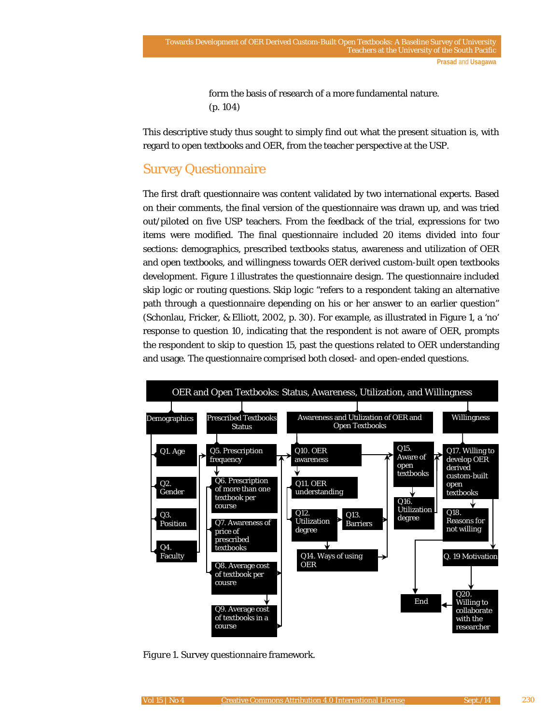form the basis of research of a more fundamental nature. (p. 104)

This descriptive study thus sought to simply find out what the present situation is, with regard to open textbooks and OER, from the teacher perspective at the USP.

# Survey Questionnaire

The first draft questionnaire was content validated by two international experts. Based on their comments, the final version of the questionnaire was drawn up, and was tried out/piloted on five USP teachers. From the feedback of the trial, expressions for two items were modified. The final questionnaire included 20 items divided into four sections: demographics, prescribed textbooks status, awareness and utilization of OER and open textbooks, and willingness towards OER derived custom-built open textbooks development. Figure 1 illustrates the questionnaire design. The questionnaire included skip logic or routing questions. Skip logic "refers to a respondent taking an alternative path through a questionnaire depending on his or her answer to an earlier question" (Schonlau, Fricker, & Elliott, 2002, p. 30). For example, as illustrated in Figure 1, a 'no' response to question 10, indicating that the respondent is not aware of OER, prompts the respondent to skip to question 15, past the questions related to OER understanding and usage. The questionnaire comprised both closed- and open-ended questions.



*Figure 1*. Survey questionnaire framework.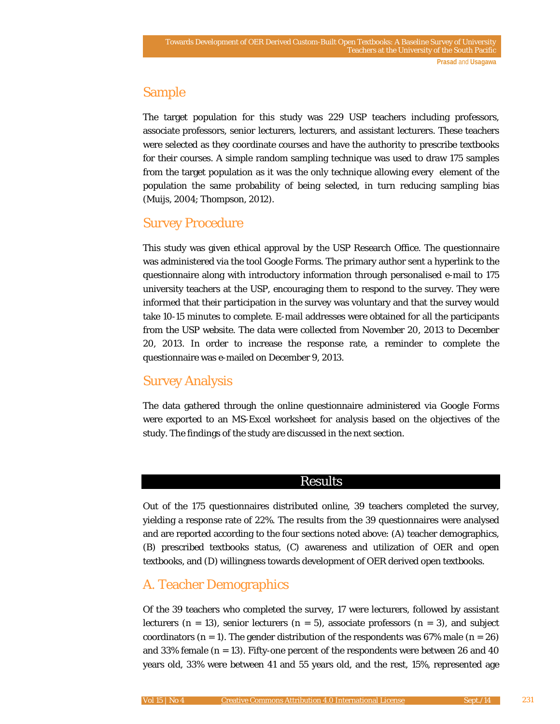# Sample

The target population for this study was 229 USP teachers including professors, associate professors, senior lecturers, lecturers, and assistant lecturers. These teachers were selected as they coordinate courses and have the authority to prescribe textbooks for their courses. A simple random sampling technique was used to draw 175 samples from the target population as it was the only technique allowing every element of the population the same probability of being selected, in turn reducing sampling bias (Muijs, 2004; Thompson, 2012).

# Survey Procedure

This study was given ethical approval by the USP Research Office. The questionnaire was administered via the tool Google Forms. The primary author sent a hyperlink to the questionnaire along with introductory information through personalised e-mail to 175 university teachers at the USP, encouraging them to respond to the survey. They were informed that their participation in the survey was voluntary and that the survey would take 10-15 minutes to complete. E-mail addresses were obtained for all the participants from the USP website. The data were collected from November 20, 2013 to December 20, 2013. In order to increase the response rate, a reminder to complete the questionnaire was e-mailed on December 9, 2013.

# Survey Analysis

The data gathered through the online questionnaire administered via Google Forms were exported to an MS-Excel worksheet for analysis based on the objectives of the study. The findings of the study are discussed in the next section.

# Results

Out of the 175 questionnaires distributed online, 39 teachers completed the survey, yielding a response rate of 22%. The results from the 39 questionnaires were analysed and are reported according to the four sections noted above: (A) teacher demographics, (B) prescribed textbooks status, (C) awareness and utilization of OER and open textbooks, and (D) willingness towards development of OER derived open textbooks.

# A. Teacher Demographics

Of the 39 teachers who completed the survey, 17 were lecturers, followed by assistant lecturers  $(n = 13)$ , senior lecturers  $(n = 5)$ , associate professors  $(n = 3)$ , and subject coordinators  $(n = 1)$ . The gender distribution of the respondents was 67% male  $(n = 26)$ and 33% female  $(n = 13)$ . Fifty-one percent of the respondents were between 26 and 40 years old, 33% were between 41 and 55 years old, and the rest, 15%, represented age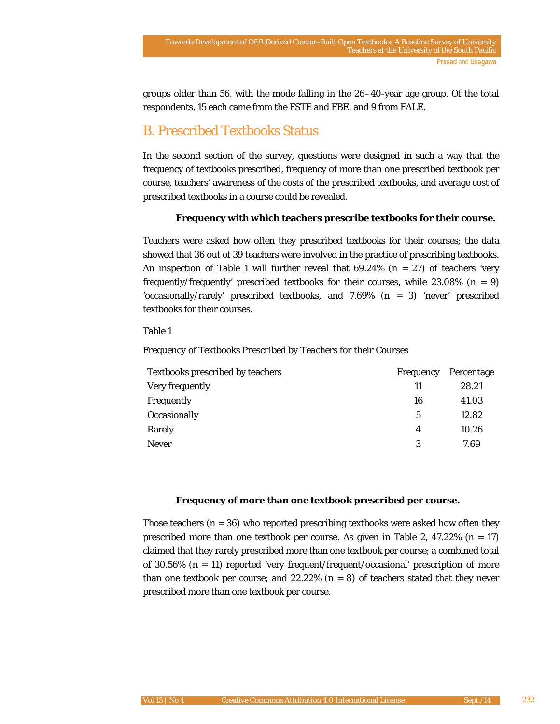groups older than 56, with the mode falling in the 26–40-year age group. Of the total respondents, 15 each came from the FSTE and FBE, and 9 from FALE.

# B. Prescribed Textbooks Status

In the second section of the survey, questions were designed in such a way that the frequency of textbooks prescribed, frequency of more than one prescribed textbook per course, teachers' awareness of the costs of the prescribed textbooks, and average cost of prescribed textbooks in a course could be revealed.

### **Frequency with which teachers prescribe textbooks for their course.**

Teachers were asked how often they prescribed textbooks for their courses; the data showed that 36 out of 39 teachers were involved in the practice of prescribing textbooks. An inspection of Table 1 will further reveal that 69.24% (*n* = 27) of teachers 'very frequently/frequently' prescribed textbooks for their courses, while 23.08% (*n* = 9) 'occasionally/rarely' prescribed textbooks, and 7.69% (*n* = 3) 'never' prescribed textbooks for their courses.

#### Table 1

#### *Frequency of Textbooks Prescribed by Teachers for their Courses*

| <b>Textbooks prescribed by teachers</b> | Frequency | Percentage |
|-----------------------------------------|-----------|------------|
| Very frequently                         | 11        | 28.21      |
| Frequently                              | 16        | 41.03      |
| Occasionally                            | 5         | 12.82      |
| Rarely                                  | 4         | 10.26      |
| <b>Never</b>                            | 3         | 7.69       |

#### **Frequency of more than one textbook prescribed per course.**

Those teachers  $(n = 36)$  who reported prescribing textbooks were asked how often they prescribed more than one textbook per course. As given in Table 2, 47.22% (*n* = 17) claimed that they rarely prescribed more than one textbook per course; a combined total of 30.56% (*n* = 11) reported 'very frequent/frequent/occasional' prescription of more than one textbook per course; and  $22.22\%$  ( $n = 8$ ) of teachers stated that they never prescribed more than one textbook per course.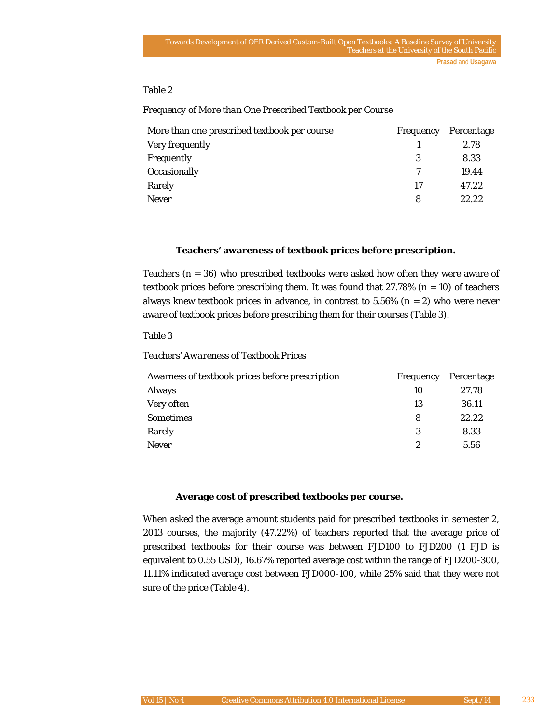**Prasad** and **Usagawa**

### Table 2

#### *Frequency of More than One Prescribed Textbook per Course*

| More than one prescribed textbook per course |    | Frequency Percentage |
|----------------------------------------------|----|----------------------|
| Very frequently                              |    | 2.78                 |
| Frequently                                   |    | 8.33                 |
| Occasionally                                 |    | 19.44                |
| Rarely                                       | 17 | 47.22                |
| <b>Never</b>                                 | 8  | 22.22                |

#### **Teachers' awareness of textbook prices before prescription.**

Teachers (*n* = 36) who prescribed textbooks were asked how often they were aware of textbook prices before prescribing them. It was found that 27.78% (*n* = 10) of teachers always knew textbook prices in advance, in contrast to  $5.56\%$  ( $n = 2$ ) who were never aware of textbook prices before prescribing them for their courses (Table 3).

### Table 3

#### *Teachers' Awareness of Textbook Prices*

| Awarness of textbook prices before prescription | Frequency | Percentage |
|-------------------------------------------------|-----------|------------|
| <b>Always</b>                                   | 10        | 27.78      |
| Very often                                      | 13        | 36.11      |
| <b>Sometimes</b>                                | 8         | 22.22      |
| Rarely                                          | 3         | 8.33       |
| <b>Never</b>                                    | 2         | 5.56       |

#### **Average cost of prescribed textbooks per course.**

When asked the average amount students paid for prescribed textbooks in semester 2, 2013 courses, the majority (47.22%) of teachers reported that the average price of prescribed textbooks for their course was between FJD100 to FJD200 (1 FJD is equivalent to 0.55 USD), 16.67% reported average cost within the range of FJD200-300, 11.11% indicated average cost between FJD000-100, while 25% said that they were not sure of the price (Table 4).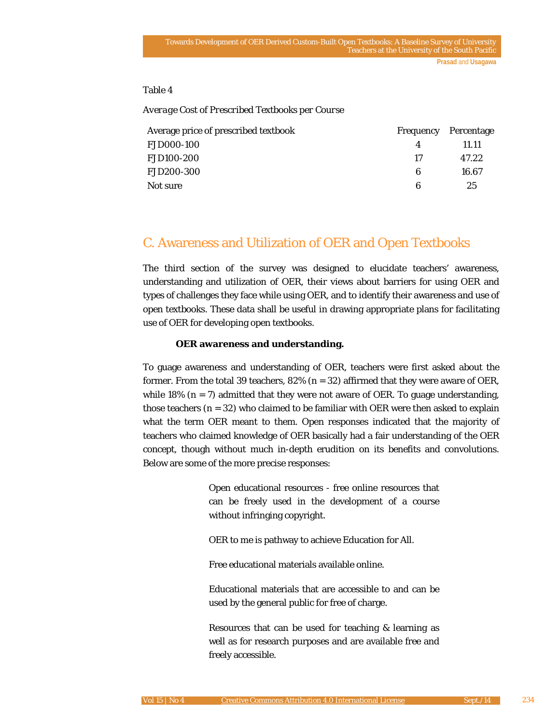**Prasad** and **Usagawa**

### Table 4

*Average Cost of Prescribed Textbooks per Course*

| Average price of prescribed textbook |    | Frequency Percentage |
|--------------------------------------|----|----------------------|
| <b>FJD000-100</b>                    | 4  | 11.11                |
| <b>FJD100-200</b>                    | 17 | 47.22                |
| <b>FJD200-300</b>                    | 6  | 16.67                |
| Not sure                             | 6  | 25                   |

# C. Awareness and Utilization of OER and Open Textbooks

The third section of the survey was designed to elucidate teachers' awareness, understanding and utilization of OER, their views about barriers for using OER and types of challenges they face while using OER, and to identify their awareness and use of open textbooks. These data shall be useful in drawing appropriate plans for facilitating use of OER for developing open textbooks.

#### **OER awareness and understanding.**

To guage awareness and understanding of OER, teachers were first asked about the former. From the total 39 teachers, 82% (*n* = 32) affirmed that they were aware of OER, while 18%  $(n = 7)$  admitted that they were not aware of OER. To guage understanding, those teachers  $(n = 32)$  who claimed to be familiar with OER were then asked to explain what the term OER meant to them. Open responses indicated that the majority of teachers who claimed knowledge of OER basically had a fair understanding of the OER concept, though without much in-depth erudition on its benefits and convolutions. Below are some of the more precise responses:

> Open educational resources - free online resources that can be freely used in the development of a course without infringing copyright.

OER to me is pathway to achieve Education for All.

Free educational materials available online.

Educational materials that are accessible to and can be used by the general public for free of charge.

Resources that can be used for teaching & learning as well as for research purposes and are available free and freely accessible.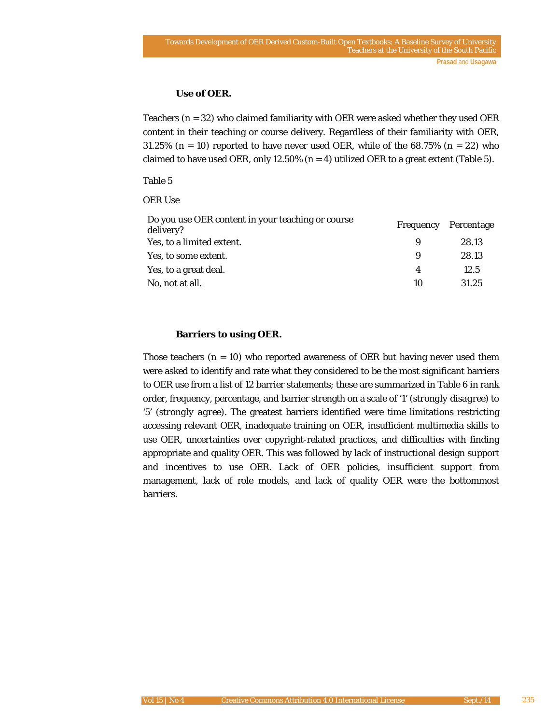### **Use of OER.**

Teachers  $(n = 32)$  who claimed familiarity with OER were asked whether they used OER content in their teaching or course delivery. Regardless of their familiarity with OER, 31.25% ( $n = 10$ ) reported to have never used OER, while of the 68.75% ( $n = 22$ ) who claimed to have used OER, only 12.50%  $(n = 4)$  utilized OER to a great extent (Table 5).

#### Table 5

#### *OER Use*

| Do you use OER content in your teaching or course<br>delivery? | Frequency | Percentage |
|----------------------------------------------------------------|-----------|------------|
| Yes, to a limited extent.                                      | 9         | 28.13      |
| Yes, to some extent.                                           | 9         | 28.13      |
| Yes, to a great deal.                                          | 4         | 12.5       |
| No, not at all.                                                | 10        | 31.25      |

### **Barriers to using OER.**

Those teachers  $(n = 10)$  who reported awareness of OER but having never used them were asked to identify and rate what they considered to be the most significant barriers to OER use from a list of 12 barrier statements; these are summarized in Table 6 in rank order, frequency, percentage, and barrier strength on a scale of '1' (*strongly disagree*) to '5' (*strongly agree*). The greatest barriers identified were time limitations restricting accessing relevant OER, inadequate training on OER, insufficient multimedia skills to use OER, uncertainties over copyright-related practices, and difficulties with finding appropriate and quality OER. This was followed by lack of instructional design support and incentives to use OER. Lack of OER policies, insufficient support from management, lack of role models, and lack of quality OER were the bottommost barriers.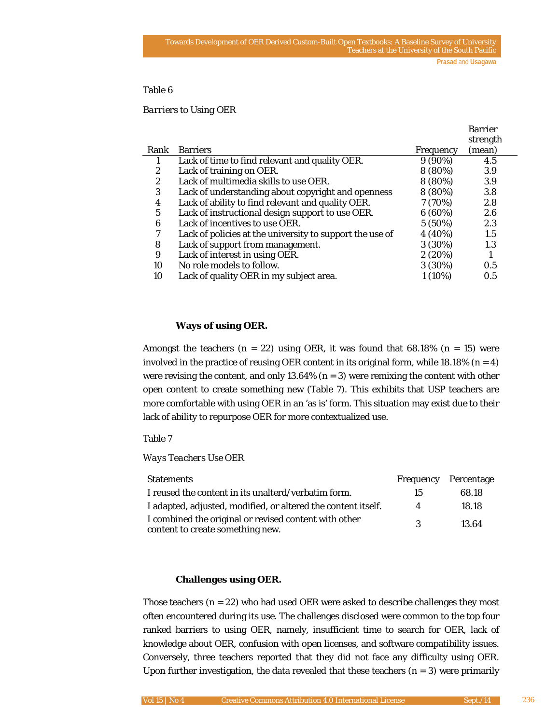#### Table 6

#### *Barriers to Using OER*

|                |                                                          |           | <b>Barrier</b> |
|----------------|----------------------------------------------------------|-----------|----------------|
|                |                                                          |           | strength       |
| Rank           | <b>Barriers</b>                                          | Frequency | (mean)         |
|                | Lack of time to find relevant and quality OER.           | $9(90\%)$ | 4.5            |
| $\overline{2}$ | Lack of training on OER.                                 | 8 (80%)   | 3.9            |
| 2              | Lack of multimedia skills to use OER.                    | 8 (80%)   | 3.9            |
| 3              | Lack of understanding about copyright and openness       | 8 (80%)   | 3.8            |
| 4              | Lack of ability to find relevant and quality OER.        | 7(70%)    | 2.8            |
| 5              | Lack of instructional design support to use OER.         | 6(60%)    | 2.6            |
| 6              | Lack of incentives to use OER.                           | 5 (50%)   | 2.3            |
| 7              | Lack of policies at the university to support the use of | 4 (40%)   | 1.5            |
| 8              | Lack of support from management.                         | $3(30\%)$ | 1.3            |
| 9              | Lack of interest in using OER.                           | 2(20%)    |                |
| 10             | No role models to follow.                                | $3(30\%)$ | 0.5            |
| 10             | Lack of quality OER in my subject area.                  | $1(10\%)$ | 0.5            |

#### **Ways of using OER.**

Amongst the teachers  $(n = 22)$  using OER, it was found that 68.18%  $(n = 15)$  were involved in the practice of reusing OER content in its original form, while  $18.18\%$  ( $n = 4$ ) were revising the content, and only  $13.64\%$  ( $n=3$ ) were remixing the content with other open content to create something new (Table 7). This exhibits that USP teachers are more comfortable with using OER in an 'as is' form. This situation may exist due to their lack of ability to repurpose OER for more contextualized use.

#### Table 7

*Ways Teachers Use OER*

| <b>Statements</b>                                                                         |    | Frequency Percentage |
|-------------------------------------------------------------------------------------------|----|----------------------|
| I reused the content in its unalterd/verbatim form.                                       | 15 | 68.18                |
| I adapted, adjusted, modified, or altered the content itself.                             | 4  | 18.18                |
| I combined the original or revised content with other<br>content to create something new. | 3  | 13.64                |

### **Challenges using OER.**

Those teachers  $(n = 22)$  who had used OER were asked to describe challenges they most often encountered during its use. The challenges disclosed were common to the top four ranked barriers to using OER, namely, insufficient time to search for OER, lack of knowledge about OER, confusion with open licenses, and software compatibility issues. Conversely, three teachers reported that they did not face any difficulty using OER. Upon further investigation, the data revealed that these teachers  $(n = 3)$  were primarily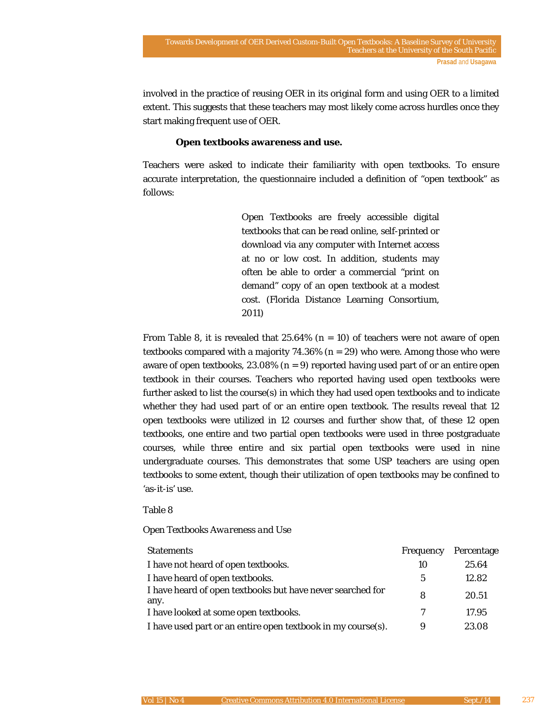involved in the practice of reusing OER in its original form and using OER to a limited extent. This suggests that these teachers may most likely come across hurdles once they start making frequent use of OER.

#### **Open textbooks awareness and use.**

Teachers were asked to indicate their familiarity with open textbooks. To ensure accurate interpretation, the questionnaire included a definition of "open textbook" as follows:

> Open Textbooks are freely accessible digital textbooks that can be read online, self-printed or download via any computer with Internet access at no or low cost. In addition, students may often be able to order a commercial "print on demand" copy of an open textbook at a modest cost. (Florida Distance Learning Consortium, 2011)

From Table 8, it is revealed that 25.64% (*n* = 10) of teachers were not aware of open textbooks compared with a majority  $74.36\%$  ( $n = 29$ ) who were. Among those who were aware of open textbooks,  $23.08\%$  ( $n = 9$ ) reported having used part of or an entire open textbook in their courses. Teachers who reported having used open textbooks were further asked to list the course(s) in which they had used open textbooks and to indicate whether they had used part of or an entire open textbook. The results reveal that 12 open textbooks were utilized in 12 courses and further show that, of these 12 open textbooks, one entire and two partial open textbooks were used in three postgraduate courses, while three entire and six partial open textbooks were used in nine undergraduate courses. This demonstrates that some USP teachers are using open textbooks to some extent, though their utilization of open textbooks may be confined to 'as-it-is' use.

#### Table 8

### *Open Textbooks Awareness and Use*

| <b>Statements</b>                                                  | Frequency | Percentage |
|--------------------------------------------------------------------|-----------|------------|
| I have not heard of open textbooks.                                | 10        | 25.64      |
| I have heard of open textbooks.                                    | 5         | 12.82      |
| I have heard of open textbooks but have never searched for<br>any. | 8         | 20.51      |
| I have looked at some open textbooks.                              |           | 17.95      |
| I have used part or an entire open textbook in my course(s).       | 9         | 23.08      |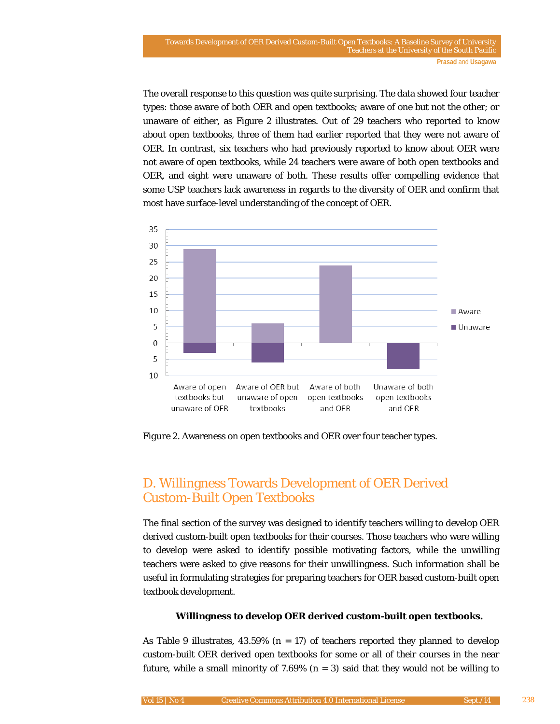The overall response to this question was quite surprising. The data showed four teacher types: those aware of both OER and open textbooks; aware of one but not the other; or unaware of either, as Figure 2 illustrates. Out of 29 teachers who reported to know about open textbooks, three of them had earlier reported that they were not aware of OER. In contrast, six teachers who had previously reported to know about OER were not aware of open textbooks, while 24 teachers were aware of both open textbooks and OER, and eight were unaware of both. These results offer compelling evidence that some USP teachers lack awareness in regards to the diversity of OER and confirm that most have surface-level understanding of the concept of OER.



*Figure 2*. Awareness on open textbooks and OER over four teacher types.

# D. Willingness Towards Development of OER Derived Custom-Built Open Textbooks

The final section of the survey was designed to identify teachers willing to develop OER derived custom-built open textbooks for their courses. Those teachers who were willing to develop were asked to identify possible motivating factors, while the unwilling teachers were asked to give reasons for their unwillingness. Such information shall be useful in formulating strategies for preparing teachers for OER based custom-built open textbook development.

### **Willingness to develop OER derived custom-built open textbooks.**

As Table 9 illustrates, 43.59% (*n* = 17) of teachers reported they planned to develop custom-built OER derived open textbooks for some or all of their courses in the near future, while a small minority of 7.69%  $(n = 3)$  said that they would not be willing to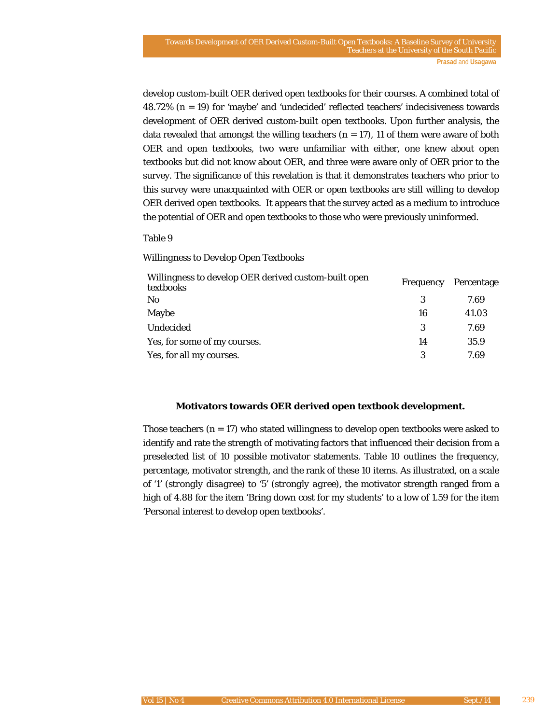develop custom-built OER derived open textbooks for their courses. A combined total of 48.72% (*n* = 19) for 'maybe' and 'undecided' reflected teachers' indecisiveness towards development of OER derived custom-built open textbooks. Upon further analysis, the data revealed that amongst the willing teachers  $(n = 17)$ , 11 of them were aware of both OER and open textbooks, two were unfamiliar with either, one knew about open textbooks but did not know about OER, and three were aware only of OER prior to the survey. The significance of this revelation is that it demonstrates teachers who prior to this survey were unacquainted with OER or open textbooks are still willing to develop OER derived open textbooks. It appears that the survey acted as a medium to introduce the potential of OER and open textbooks to those who were previously uninformed.

#### Table 9

#### *Willingness to Develop Open Textbooks*

| Willingness to develop OER derived custom-built open<br>textbooks | <b>Frequency</b> | Percentage |
|-------------------------------------------------------------------|------------------|------------|
| N <sub>0</sub>                                                    |                  | 7.69       |
| Maybe                                                             | 16               | 41.03      |
| Undecided                                                         | 3                | 7.69       |
| Yes, for some of my courses.                                      | 14               | 35.9       |
| Yes, for all my courses.                                          | 3                | 7.69       |

#### **Motivators towards OER derived open textbook development.**

Those teachers (*n* = 17) who stated willingness to develop open textbooks were asked to identify and rate the strength of motivating factors that influenced their decision from a preselected list of 10 possible motivator statements. Table 10 outlines the frequency, percentage, motivator strength, and the rank of these 10 items. As illustrated, on a scale of '1' (*strongly disagree*) to '5' (*strongly agree*), the motivator strength ranged from a high of 4.88 for the item 'Bring down cost for my students' to a low of 1.59 for the item 'Personal interest to develop open textbooks'.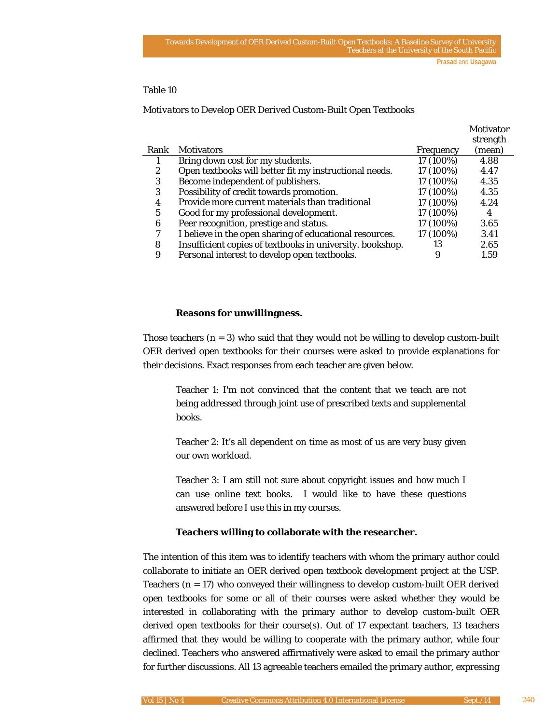### Table 10

#### *Motivators to Develop OER Derived Custom-Built Open Textbooks*

|      |                                                           |                  | <b>NOUVALOF</b> |
|------|-----------------------------------------------------------|------------------|-----------------|
|      |                                                           |                  | strength        |
| Rank | <b>Motivators</b>                                         | <b>Frequency</b> | (mean)          |
|      | Bring down cost for my students.                          | 17 (100%)        | 4.88            |
| 2    | Open textbooks will better fit my instructional needs.    | 17 (100%)        | 4.47            |
| 3    | Become independent of publishers.                         | 17 (100%)        | 4.35            |
| 3    | Possibility of credit towards promotion.                  | 17 (100%)        | 4.35            |
| 4    | Provide more current materials than traditional           | 17 (100%)        | 4.24            |
| 5    | Good for my professional development.                     | 17 (100%)        | 4               |
| 6    | Peer recognition, prestige and status.                    | 17 (100%)        | 3.65            |
| 7    | I believe in the open sharing of educational resources.   | 17 (100%)        | 3.41            |
| 8    | Insufficient copies of textbooks in university. bookshop. | 13               | 2.65            |
| 9    | Personal interest to develop open textbooks.              |                  | 1.59            |
|      |                                                           |                  |                 |

#### **Reasons for unwillingness.**

Those teachers  $(n = 3)$  who said that they would not be willing to develop custom-built OER derived open textbooks for their courses were asked to provide explanations for their decisions. Exact responses from each teacher are given below.

Teacher 1: I'm not convinced that the content that we teach are not being addressed through joint use of prescribed texts and supplemental books.

Teacher 2: It's all dependent on time as most of us are very busy given our own workload.

Teacher 3: I am still not sure about copyright issues and how much I can use online text books. I would like to have these questions answered before I use this in my courses.

### **Teachers willing to collaborate with the researcher.**

The intention of this item was to identify teachers with whom the primary author could collaborate to initiate an OER derived open textbook development project at the USP. Teachers  $(n = 17)$  who conveyed their willingness to develop custom-built OER derived open textbooks for some or all of their courses were asked whether they would be interested in collaborating with the primary author to develop custom-built OER derived open textbooks for their course(s). Out of 17 expectant teachers, 13 teachers affirmed that they would be willing to cooperate with the primary author, while four declined. Teachers who answered affirmatively were asked to email the primary author for further discussions. All 13 agreeable teachers emailed the primary author, expressing

Motivator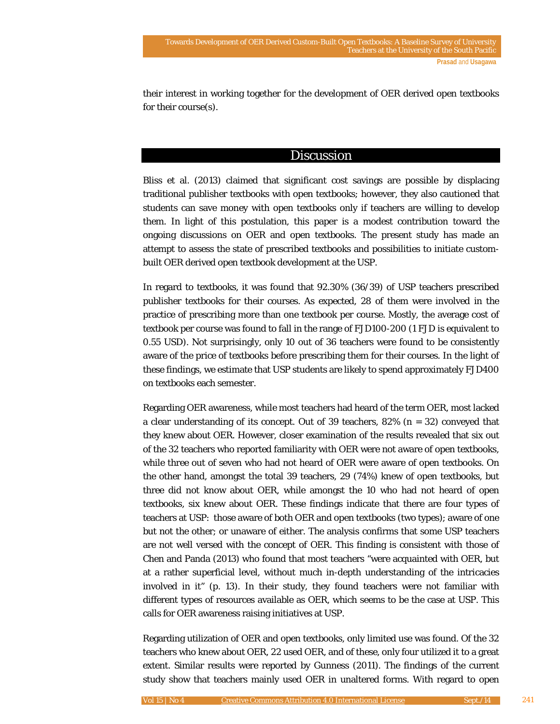their interest in working together for the development of OER derived open textbooks for their course(s).

# **Discussion**

Bliss et al. (2013) claimed that significant cost savings are possible by displacing traditional publisher textbooks with open textbooks; however, they also cautioned that students can save money with open textbooks only if teachers are willing to develop them. In light of this postulation, this paper is a modest contribution toward the ongoing discussions on OER and open textbooks. The present study has made an attempt to assess the state of prescribed textbooks and possibilities to initiate custombuilt OER derived open textbook development at the USP.

In regard to textbooks, it was found that 92.30% (36/39) of USP teachers prescribed publisher textbooks for their courses. As expected, 28 of them were involved in the practice of prescribing more than one textbook per course. Mostly, the average cost of textbook per course was found to fall in the range of FJD100-200 (1 FJD is equivalent to 0.55 USD). Not surprisingly, only 10 out of 36 teachers were found to be consistently aware of the price of textbooks before prescribing them for their courses. In the light of these findings, we estimate that USP students are likely to spend approximately FJD400 on textbooks each semester.

Regarding OER awareness, while most teachers had heard of the term OER, most lacked a clear understanding of its concept. Out of 39 teachers, 82% (*n* = 32) conveyed that they knew about OER. However, closer examination of the results revealed that six out of the 32 teachers who reported familiarity with OER were not aware of open textbooks, while three out of seven who had not heard of OER were aware of open textbooks. On the other hand, amongst the total 39 teachers, 29 (74%) knew of open textbooks, but three did not know about OER, while amongst the 10 who had not heard of open textbooks, six knew about OER. These findings indicate that there are four types of teachers at USP: those aware of both OER and open textbooks (two types); aware of one but not the other; or unaware of either. The analysis confirms that some USP teachers are not well versed with the concept of OER. This finding is consistent with those of Chen and Panda (2013) who found that most teachers "were acquainted with OER, but at a rather superficial level, without much in-depth understanding of the intricacies involved in it" (p. 13). In their study, they found teachers were not familiar with different types of resources available as OER, which seems to be the case at USP. This calls for OER awareness raising initiatives at USP.

Regarding utilization of OER and open textbooks, only limited use was found. Of the 32 teachers who knew about OER, 22 used OER, and of these, only four utilized it to a great extent. Similar results were reported by Gunness (2011). The findings of the current study show that teachers mainly used OER in unaltered forms. With regard to open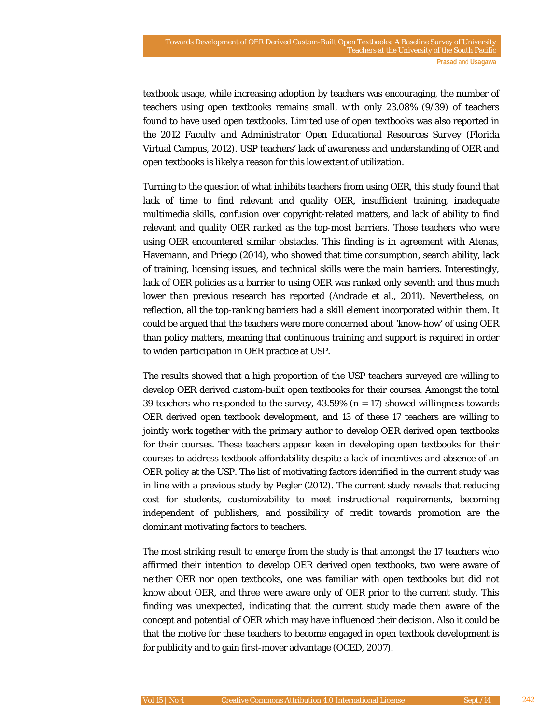textbook usage, while increasing adoption by teachers was encouraging, the number of teachers using open textbooks remains small, with only 23.08% (9/39) of teachers found to have used open textbooks. Limited use of open textbooks was also reported in the *2012 Faculty and Administrator Open Educational Resources Survey* (Florida Virtual Campus, 2012). USP teachers' lack of awareness and understanding of OER and open textbooks is likely a reason for this low extent of utilization.

Turning to the question of what inhibits teachers from using OER, this study found that lack of time to find relevant and quality OER, insufficient training, inadequate multimedia skills, confusion over copyright-related matters, and lack of ability to find relevant and quality OER ranked as the top-most barriers. Those teachers who were using OER encountered similar obstacles. This finding is in agreement with Atenas, Havemann, and Priego (2014), who showed that time consumption, search ability, lack of training, licensing issues, and technical skills were the main barriers. Interestingly, lack of OER policies as a barrier to using OER was ranked only seventh and thus much lower than previous research has reported (Andrade et al., 2011). Nevertheless, on reflection, all the top-ranking barriers had a skill element incorporated within them. It could be argued that the teachers were more concerned about 'know-how' of using OER than policy matters, meaning that continuous training and support is required in order to widen participation in OER practice at USP.

The results showed that a high proportion of the USP teachers surveyed are willing to develop OER derived custom-built open textbooks for their courses. Amongst the total 39 teachers who responded to the survey,  $43.59\%$  ( $n = 17$ ) showed willingness towards OER derived open textbook development, and 13 of these 17 teachers are willing to jointly work together with the primary author to develop OER derived open textbooks for their courses. These teachers appear keen in developing open textbooks for their courses to address textbook affordability despite a lack of incentives and absence of an OER policy at the USP. The list of motivating factors identified in the current study was in line with a previous study by Pegler (2012). The current study reveals that reducing cost for students, customizability to meet instructional requirements, becoming independent of publishers, and possibility of credit towards promotion are the dominant motivating factors to teachers.

The most striking result to emerge from the study is that amongst the 17 teachers who affirmed their intention to develop OER derived open textbooks, two were aware of neither OER nor open textbooks, one was familiar with open textbooks but did not know about OER, and three were aware only of OER prior to the current study. This finding was unexpected, indicating that the current study made them aware of the concept and potential of OER which may have influenced their decision. Also it could be that the motive for these teachers to become engaged in open textbook development is for publicity and to gain first-mover advantage (OCED, 2007).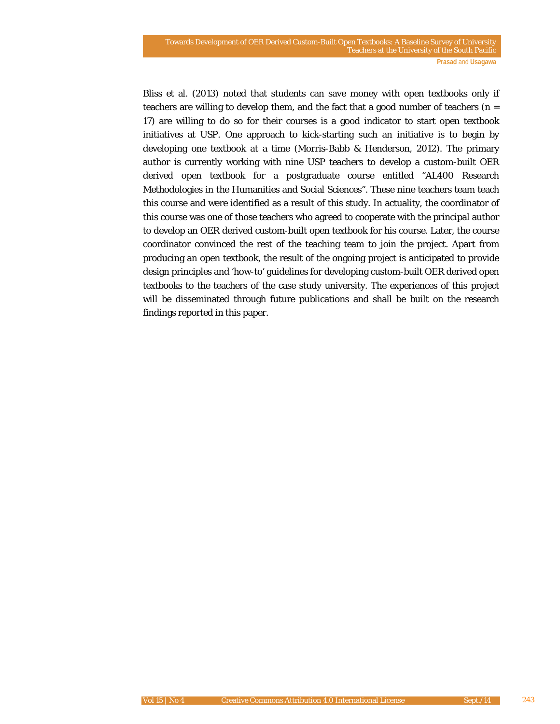Bliss et al. (2013) noted that students can save money with open textbooks only if teachers are willing to develop them, and the fact that a good number of teachers (*n* = 17) are willing to do so for their courses is a good indicator to start open textbook initiatives at USP. One approach to kick-starting such an initiative is to begin by developing one textbook at a time (Morris-Babb & Henderson, 2012). The primary author is currently working with nine USP teachers to develop a custom-built OER derived open textbook for a postgraduate course entitled "AL400 Research Methodologies in the Humanities and Social Sciences". These nine teachers team teach this course and were identified as a result of this study. In actuality, the coordinator of this course was one of those teachers who agreed to cooperate with the principal author to develop an OER derived custom-built open textbook for his course. Later, the course coordinator convinced the rest of the teaching team to join the project. Apart from producing an open textbook, the result of the ongoing project is anticipated to provide design principles and 'how-to' guidelines for developing custom-built OER derived open textbooks to the teachers of the case study university. The experiences of this project will be disseminated through future publications and shall be built on the research findings reported in this paper.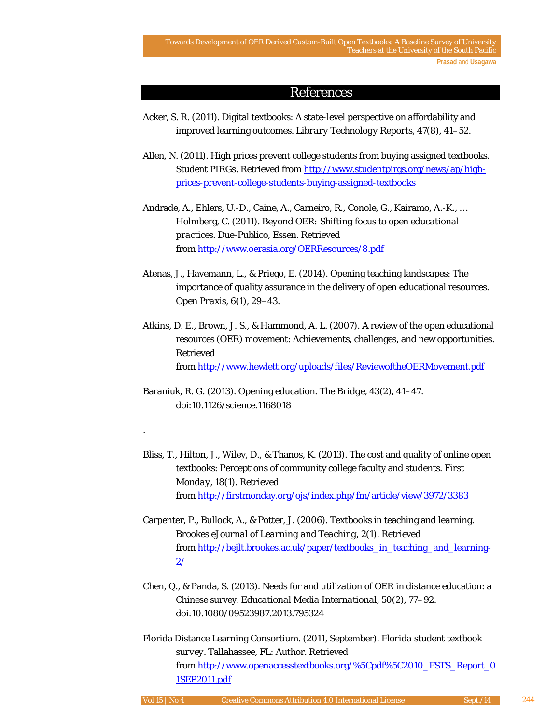### References

- Acker, S. R. (2011). Digital textbooks: A state-level perspective on affordability and improved learning outcomes. *Library Technology Reports*, *47*(8), 41–52.
- Allen, N. (2011). High prices prevent college students from buying assigned textbooks. *Student PIRGs*. Retrieved from [http://www.studentpirgs.org/news/ap/high](http://www.studentpirgs.org/news/ap/high-prices-prevent-college-students-buying-assigned-textbooks)[prices-prevent-college-students-buying-assigned-textbooks](http://www.studentpirgs.org/news/ap/high-prices-prevent-college-students-buying-assigned-textbooks)
- Andrade, A., Ehlers, U.-D., Caine, A., Carneiro, R., Conole, G., Kairamo, A.-K., … Holmberg, C. (2011). *Beyond OER: Shifting focus to open educational practices*. Due-Publico, Essen. Retrieved from<http://www.oerasia.org/OERResources/8.pdf>
- Atenas, J., Havemann, L., & Priego, E. (2014). Opening teaching landscapes: The importance of quality assurance in the delivery of open educational resources. *Open Praxis*, *6*(1), 29–43.
- Atkins, D. E., Brown, J. S., & Hammond, A. L. (2007). A review of the open educational resources (OER) movement: Achievements, challenges, and new opportunities. Retrieved from<http://www.hewlett.org/uploads/files/ReviewoftheOERMovement.pdf>
- Baraniuk, R. G. (2013). Opening education. *The Bridge*, *43*(2), 41–47. doi:10.1126/science.1168018

.

- Bliss, T., Hilton, J., Wiley, D., & Thanos, K. (2013). The cost and quality of online open textbooks: Perceptions of community college faculty and students. *First Monday*, *18*(1). Retrieved from<http://firstmonday.org/ojs/index.php/fm/article/view/3972/3383>
- Carpenter, P., Bullock, A., & Potter, J. (2006). Textbooks in teaching and learning. *Brookes eJournal of Learning and Teaching*, *2*(1). Retrieved from [http://bejlt.brookes.ac.uk/paper/textbooks\\_in\\_teaching\\_and\\_learning-](http://bejlt.brookes.ac.uk/paper/textbooks_in_teaching_and_learning-2/) $2/$
- Chen, Q., & Panda, S. (2013). Needs for and utilization of OER in distance education: a Chinese survey. *Educational Media International*, *50*(2), 77–92. doi:10.1080/09523987.2013.795324
- Florida Distance Learning Consortium. (2011, September). *Florida student textbook survey.* Tallahassee, FL: Author. Retrieved from [http://www.openaccesstextbooks.org/%5Cpdf%5C2010\\_FSTS\\_Report\\_0](http://www.openaccesstextbooks.org/%5Cpdf%5C2010_FSTS_Report_01SEP2011.pdf) [1SEP2011.pdf](http://www.openaccesstextbooks.org/%5Cpdf%5C2010_FSTS_Report_01SEP2011.pdf)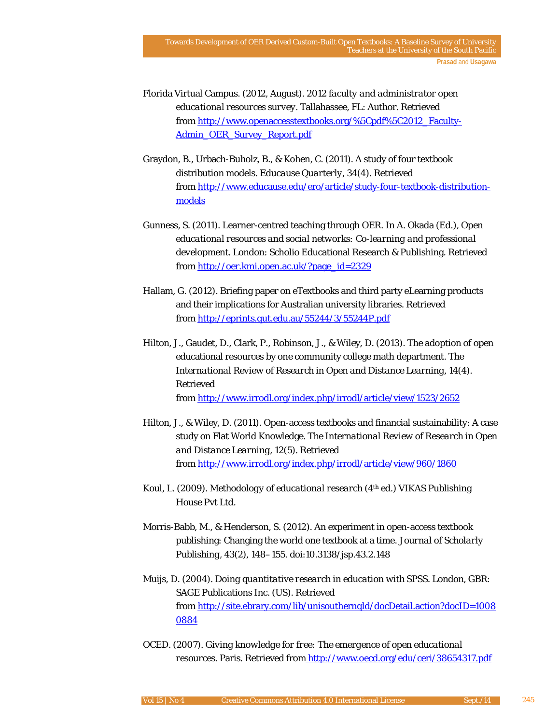- Florida Virtual Campus. (2012, August). *2012 faculty and administrator open educational resources survey.* Tallahassee, FL: Author. Retrieved from [http://www.openaccesstextbooks.org/%5Cpdf%5C2012\\_Faculty-](http://www.openaccesstextbooks.org/%5Cpdf%5C2012_Faculty-Admin_OER_Survey_Report.pdf)[Admin\\_OER\\_Survey\\_Report.pdf](http://www.openaccesstextbooks.org/%5Cpdf%5C2012_Faculty-Admin_OER_Survey_Report.pdf)
- Graydon, B., Urbach-Buholz, B., & Kohen, C. (2011). A study of four textbook distribution models. *Educause Quarterly*, *34*(4). Retrieved from [http://www.educause.edu/ero/article/study-four-textbook-distribution](http://www.educause.edu/ero/article/study-four-textbook-distribution-models)[models](http://www.educause.edu/ero/article/study-four-textbook-distribution-models)
- Gunness, S. (2011). Learner-centred teaching through OER. In A. Okada (Ed.), *Open educational resources and social networks: Co-learning and professional development*. London: Scholio Educational Research & Publishing. Retrieved from [http://oer.kmi.open.ac.uk/?page\\_id=2329](http://oer.kmi.open.ac.uk/?page_id=2329%20)
- Hallam, G. (2012). Briefing paper on eTextbooks and third party eLearning products and their implications for Australian university libraries. Retrieved from<http://eprints.qut.edu.au/55244/3/55244P.pdf>
- Hilton, J., Gaudet, D., Clark, P., Robinson, J., & Wiley, D. (2013). The adoption of open educational resources by one community college math department. *The International Review of Research in Open and Distance Learning*, *14*(4). Retrieved from<http://www.irrodl.org/index.php/irrodl/article/view/1523/2652>
- Hilton, J., & Wiley, D. (2011). Open-access textbooks and financial sustainability: A case study on Flat World Knowledge. *The International Review of Research in Open and Distance Learning*, *12*(5). Retrieved from<http://www.irrodl.org/index.php/irrodl/article/view/960/1860>
- Koul, L. (2009). *Methodology of educational research* (4th ed.) VIKAS Publishing House Pvt Ltd.
- Morris-Babb, M., & Henderson, S. (2012). An experiment in open-access textbook publishing: Changing the world one textbook at a time. *Journal of Scholarly Publishing*, *43*(2), 148–155. doi:10.3138/jsp.43.2.148
- Muijs, D. (2004). *Doing quantitative research in education with SPSS*. London, GBR: SAGE Publications Inc. (US). Retrieved from [http://site.ebrary.com/lib/unisouthernqld/docDetail.action?docID=1008](http://site.ebrary.com/lib/unisouthernqld/docDetail.action?docID=10080884) [0884](http://site.ebrary.com/lib/unisouthernqld/docDetail.action?docID=10080884)
- OCED. (2007). *Giving knowledge for free: The emergence of open educational resources*. Paris. Retrieved from <http://www.oecd.org/edu/ceri/38654317.pdf>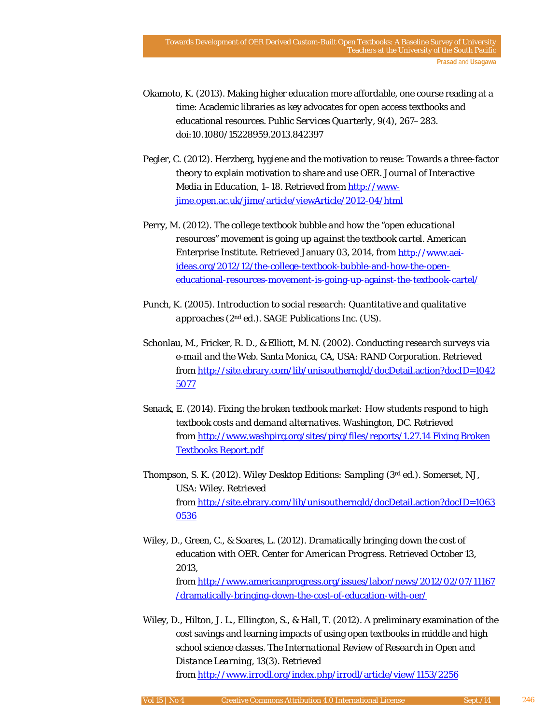- Okamoto, K. (2013). Making higher education more affordable, one course reading at a time: Academic libraries as key advocates for open access textbooks and educational resources. *Public Services Quarterly*, *9*(4), 267–283. doi:10.1080/15228959.2013.842397
- Pegler, C. (2012). Herzberg, hygiene and the motivation to reuse: Towards a three-factor theory to explain motivation to share and use OER. *Journal of Interactive Media in Education*, 1–18. Retrieved fro[m http://www](http://www-jime.open.ac.uk/jime/article/viewArticle/2012-04/html)[jime.open.ac.uk/jime/article/viewArticle/2012-04/html](http://www-jime.open.ac.uk/jime/article/viewArticle/2012-04/html)
- Perry, M. (2012). *The college textbook bubble and how the "open educational resources" movement is going up against the textbook cartel*. American Enterprise Institute. Retrieved January 03, 2014, from [http://www.aei](http://www.aei-ideas.org/2012/12/the-college-textbook-bubble-and-how-the-open-educational-resources-movement-is-going-up-against-the-textbook-cartel/)[ideas.org/2012/12/the-college-textbook-bubble-and-how-the-open](http://www.aei-ideas.org/2012/12/the-college-textbook-bubble-and-how-the-open-educational-resources-movement-is-going-up-against-the-textbook-cartel/)[educational-resources-movement-is-going-up-against-the-textbook-cartel/](http://www.aei-ideas.org/2012/12/the-college-textbook-bubble-and-how-the-open-educational-resources-movement-is-going-up-against-the-textbook-cartel/)
- Punch, K. (2005). *Introduction to social research: Quantitative and qualitative approaches* (2nd ed.). SAGE Publications Inc. (US).
- Schonlau, M., Fricker, R. D., & Elliott, M. N. (2002). *Conducting research surveys via e-mail and the Web*. Santa Monica, CA, USA: RAND Corporation. Retrieved from [http://site.ebrary.com/lib/unisouthernqld/docDetail.action?docID=1042](http://site.ebrary.com/lib/unisouthernqld/docDetail.action?docID=10425077) [5077](http://site.ebrary.com/lib/unisouthernqld/docDetail.action?docID=10425077)
- Senack, E. (2014). *Fixing the broken textbook market: How students respond to high textbook costs and demand alternatives*. Washington, DC. Retrieved from [http://www.washpirg.org/sites/pirg/files/reports/1.27.14 Fixing Broken](http://www.washpirg.org/sites/pirg/files/reports/1.27.14%20Fixing%20Broken%20Textbooks%20Report.pdf)  [Textbooks Report.pdf](http://www.washpirg.org/sites/pirg/files/reports/1.27.14%20Fixing%20Broken%20Textbooks%20Report.pdf)
- Thompson, S. K. (2012). *Wiley Desktop Editions: Sampling* (3rd ed.). Somerset, NJ, USA: Wiley. Retrieved from [http://site.ebrary.com/lib/unisouthernqld/docDetail.action?docID=1063](http://site.ebrary.com/lib/unisouthernqld/docDetail.action?docID=10630536) [0536](http://site.ebrary.com/lib/unisouthernqld/docDetail.action?docID=10630536)
- Wiley, D., Green, C., & Soares, L. (2012). Dramatically bringing down the cost of education with OER. *Center for American Progress*. Retrieved October 13, 2013, from [http://www.americanprogress.org/issues/labor/news/2012/02/07/11167](http://www.americanprogress.org/issues/labor/news/2012/02/07/11167/dramatically-bringing-down-the-cost-of-education-with-oer/) [/dramatically-bringing-down-the-cost-of-education-with-oer/](http://www.americanprogress.org/issues/labor/news/2012/02/07/11167/dramatically-bringing-down-the-cost-of-education-with-oer/)
- Wiley, D., Hilton, J. L., Ellington, S., & Hall, T. (2012). A preliminary examination of the cost savings and learning impacts of using open textbooks in middle and high school science classes. *The International Review of Research in Open and Distance Learning*, *13*(3). Retrieved from<http://www.irrodl.org/index.php/irrodl/article/view/1153/2256>